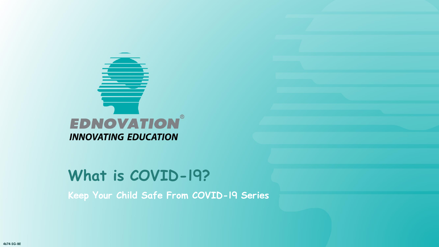

**Keep Your Child Safe From COVID-19 Series**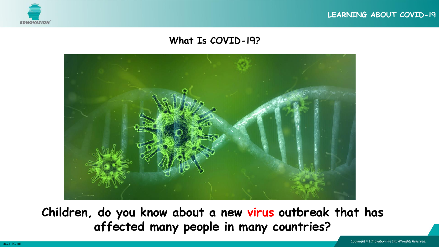





**Children, do you know about a new virus outbreak that has affected many people in many countries?**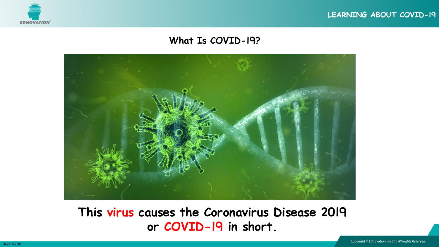





## **This virus causes the Coronavirus Disease 2019 or COVID-19 in short.**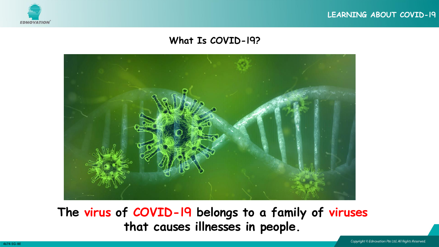





**The virus of COVID-19 belongs to a family of viruses that causes illnesses in people.**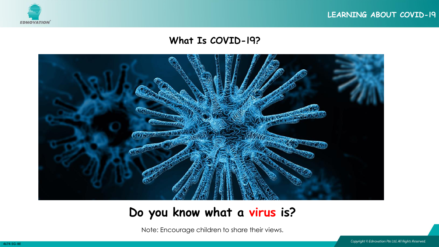





## **Do you know what a virus is?**

Note: Encourage children to share their views.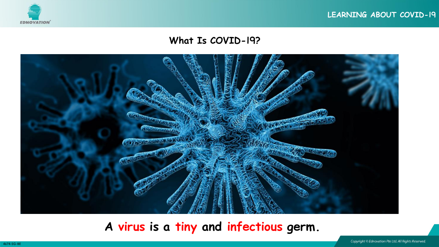





**A virus is a tiny and infectious germ.**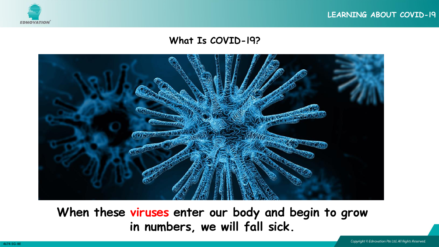





**When these viruses enter our body and begin to grow in numbers, we will fall sick.**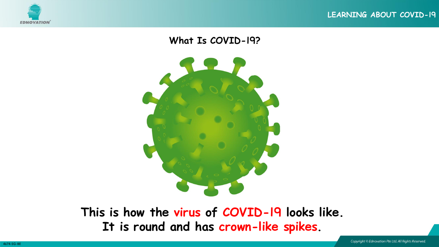



**This is how the virus of COVID-19 looks like. It is round and has crown-like spikes.**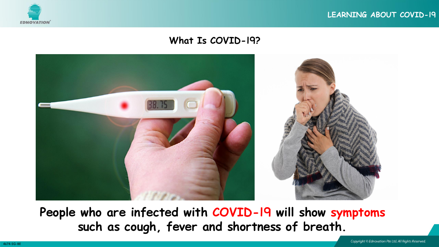



**People who are infected with COVID-19 will show symptoms such as cough, fever and shortness of breath.**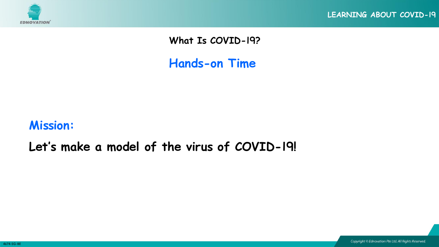

**Hands-on Time**

## **Mission:**

## **Let's make a model of the virus of COVID-19!**